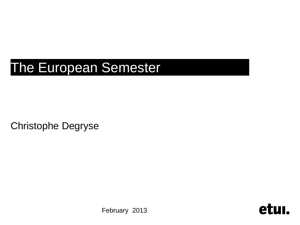# The European Semester

Christophe Degryse

February 2013

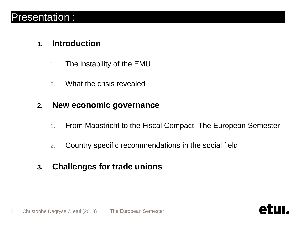#### Presentation :

#### **1. Introduction**

- 1. The instability of the EMU
- 2. What the crisis revealed

#### **2. New economic governance**

- 1. From Maastricht to the Fiscal Compact: The European Semester
- 2. Country specific recommendations in the social field
- **3. Challenges for trade unions**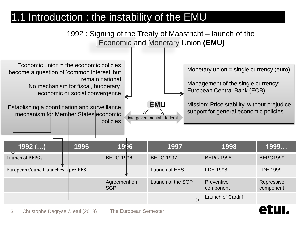## 1.1 Introduction : the instability of the EMU



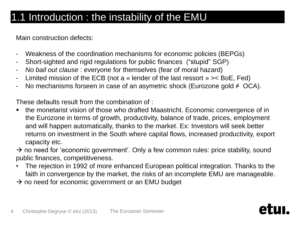### 1.1 Introduction : the instability of the EMU

Main construction defects:

- Weakness of the coordination mechanisms for economic policies (BEPGs)
- Short-sighted and rigid regulations for public finances ("stupid" SGP)
- *No bail out clause* : everyone for themselves (fear of moral hazard)
- Limited mission of the ECB (not a « lender of the last ressort » >< BoE, Fed)
- No mechanisms forseen in case of an asymetric shock (Eurozone gold  $\neq$  OCA).

These defaults result from the combination of :

• the monetarist vision of those who drafted Maastricht. Economic convergence of in the Eurozone in terms of growth, productivity, balance of trade, prices, employment and will happen automatically, thanks to the market. Ex: Investors will seek better returns on investment in the South where capital flows, increased productivity, export capacity etc.

 $\rightarrow$  no need for 'economic government'. Only a few common rules: price stability, sound public finances, competitiveness.

- The rejection in 1992 of more enhanced European political integration. Thanks to the faith in convergence by the market, the risks of an incomplete EMU are manageable.
- $\rightarrow$  no need for economic government or an EMU budget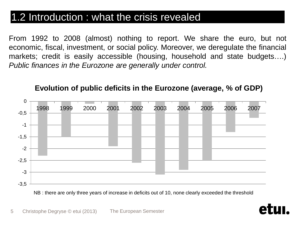### 1.2 Introduction : what the crisis revealed

From 1992 to 2008 (almost) nothing to report. We share the euro, but not economic, fiscal, investment, or social policy. Moreover, we deregulate the financial markets; credit is easily accessible (housing, household and state budgets….) *Public finances in the Eurozone are generally under control.*



#### **Evolution of public deficits in the Eurozone (average, % of GDP)**

NB : there are only three years of increase in deficits out of 10, none clearly exceeded the threshold

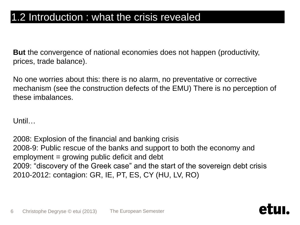#### 1.2 Introduction : what the crisis revealed

**But** the convergence of national economies does not happen (productivity, prices, trade balance).

No one worries about this: there is no alarm, no preventative or corrective mechanism (see the construction defects of the EMU) There is no perception of these imbalances.

Until…

2008: Explosion of the financial and banking crisis 2008-9: Public rescue of the banks and support to both the economy and employment = growing public deficit and debt 2009: "discovery of the Greek case" and the start of the sovereign debt crisis 2010-2012: contagion: GR, IE, PT, ES, CY (HU, LV, RO)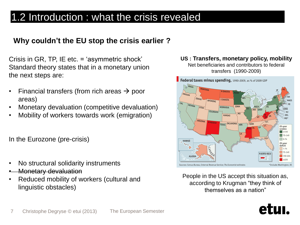### 1.2 Introduction: what the crisis revealed

#### **Why couldn't the EU stop the crisis earlier ?**

Crisis in GR, TP, IE etc. = 'asymmetric shock' Standard theory states that in a monetary union the next steps are:

- Financial transfers (from rich areas  $\rightarrow$  poor areas)
- Monetary devaluation (competitive devaluation)
- Mobility of workers towards work (emigration)

In the Eurozone (pre-crisis)

- No structural solidarity instruments
- Monetary devaluation
- Reduced mobility of workers (cultural and linguistic obstacles)

#### **US : Transfers, monetary policy, mobility** Net beneficiaries and contributors to federal

transfers (1990-2009)



People in the US accept this situation as, according to Krugman "they think of themselves as a nation"

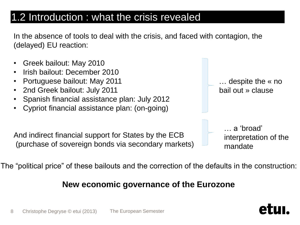### 1.2 Introduction : what the crisis revealed

In the absence of tools to deal with the crisis, and faced with contagion, the (delayed) EU reaction:



The "political price" of these bailouts and the correction of the defaults in the construction:

#### **New economic governance of the Eurozone**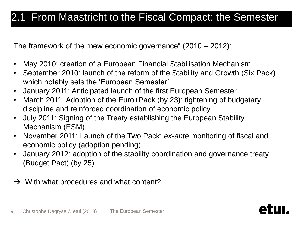### 2.1 From Maastricht to the Fiscal Compact: the Semester

The framework of the "new economic governance" (2010 – 2012):

- May 2010: creation of a European Financial Stabilisation Mechanism
- September 2010: launch of the reform of the Stability and Growth (Six Pack) which notably sets the 'European Semester'
- January 2011: Anticipated launch of the first European Semester
- March 2011: Adoption of the Euro+Pack (by 23): tightening of budgetary discipline and reinforced coordination of economic policy
- July 2011: Signing of the Treaty establishing the European Stability Mechanism (ESM)
- November 2011: Launch of the Two Pack: *ex-ante* monitoring of fiscal and economic policy (adoption pending)
- January 2012: adoption of the stability coordination and governance treaty (Budget Pact) (by 25)
- $\rightarrow$  With what procedures and what content?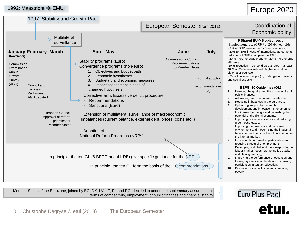#### 1992: Maastricht → EMU

#### Europe 2020

| 1997: Stability and Growth Pact                                                                                                                                                                                                                                                                |                                                                                                                                                                                                                                                                                                                                                                                                                                                                                                                            |                                                                     |                                                  |                                                                                                                                                                                                                                                                                                                                                                                                                                                                                                                                                                                                                                                                                                                                                                                                                                                                                                                                                                                                                                                                                                                                                                                                                                                       |
|------------------------------------------------------------------------------------------------------------------------------------------------------------------------------------------------------------------------------------------------------------------------------------------------|----------------------------------------------------------------------------------------------------------------------------------------------------------------------------------------------------------------------------------------------------------------------------------------------------------------------------------------------------------------------------------------------------------------------------------------------------------------------------------------------------------------------------|---------------------------------------------------------------------|--------------------------------------------------|-------------------------------------------------------------------------------------------------------------------------------------------------------------------------------------------------------------------------------------------------------------------------------------------------------------------------------------------------------------------------------------------------------------------------------------------------------------------------------------------------------------------------------------------------------------------------------------------------------------------------------------------------------------------------------------------------------------------------------------------------------------------------------------------------------------------------------------------------------------------------------------------------------------------------------------------------------------------------------------------------------------------------------------------------------------------------------------------------------------------------------------------------------------------------------------------------------------------------------------------------------|
|                                                                                                                                                                                                                                                                                                |                                                                                                                                                                                                                                                                                                                                                                                                                                                                                                                            | European Semester (from 2011)                                       |                                                  | Coordination of                                                                                                                                                                                                                                                                                                                                                                                                                                                                                                                                                                                                                                                                                                                                                                                                                                                                                                                                                                                                                                                                                                                                                                                                                                       |
|                                                                                                                                                                                                                                                                                                |                                                                                                                                                                                                                                                                                                                                                                                                                                                                                                                            |                                                                     |                                                  |                                                                                                                                                                                                                                                                                                                                                                                                                                                                                                                                                                                                                                                                                                                                                                                                                                                                                                                                                                                                                                                                                                                                                                                                                                                       |
| Multilateral<br>surveillance<br><b>January February March</b><br>(November)<br>Commission:<br>Examination<br>Annual<br>Growth<br>Survey<br>(AGS)<br>Council and<br>European<br>Parliament:<br>AGS debated<br>European Council:<br>Approval of reform<br>priorities for<br><b>Member States</b> | <b>April-May</b><br>Stability programs (Euro)<br>Convergence programs (non-euro)<br>Objectives and budget path<br>Economic hypotheses<br>2.<br>3.<br>Budgetary and economic measures<br>Impact assessment in case of<br>4.<br>changed hypothesis<br>Corrective arm: Excessive deficit procedure<br>Recommendations<br>Sanctions (Euro)<br>+ Extension of multilateral surveillance of macroeconomic<br>imbalances (current balance, external debt, prices, costs etc.)<br>+ Adoption of<br>National Reform Programs (NRPs) | June<br>Commission - Council:<br>Recommendations<br>to Member Sates | July<br>Formal adoption<br>0f<br>recommendations | Economic policy<br>5 Shared EU-MS objectives :<br>-Employment rate of 75% of 20-64 year olds<br>- 3 % of GDP invested in R&D and innovation<br>- 20% (or 30% in case of international agreement)<br>reduction of GHGs compared to 1990<br>- 20 % more renewable energy- 20 % more energy<br>efficiency<br>-10 % reduction in school drop out rates - at least<br>40 % of 30-34 year olds with higher education<br>diploma or equivalent<br>- 20 million fewer people (in, or danger of) poverty<br>and social exclusion.<br><b>BEPG: 10 Guidelines (GL)</b><br>Ensuring the quality and the sustainability of<br>1.<br>public finances;<br>Addressing macroeconomic imbalances;<br>2.<br>3.<br>Reducing imbalances in the euro area;<br>4.<br>Optimizing support for research,<br>development and innovation, strengthening<br>the knowledge triangle and unleashing the<br>potential of the digital economy;<br>5.<br>Improving resource efficiency and reducing<br>greenhouse gases;<br>Improving the business and consumer<br>6.<br>environment and modernising the industrial<br>base in order to ensure the full functioning of<br>the internal market:<br>Increasing labour market participation and<br>7.<br>reducing structural unemployment; |
|                                                                                                                                                                                                                                                                                                | In principle, the ten GL (6 BEPG and 4 LDE) give specific guidance for the NRPs<br>In principle, the ten GL form the basis of the recommendations                                                                                                                                                                                                                                                                                                                                                                          |                                                                     |                                                  | Developing a skilled workforce responding to<br>8.<br>labour market needs, promoting job quality<br>and lifelong learning;<br>Improving the performance of education and<br>9.<br>training systems at all levels and increasing<br>participation in tertiary education;<br>10. Promoting social inclusion and combating<br>poverty.                                                                                                                                                                                                                                                                                                                                                                                                                                                                                                                                                                                                                                                                                                                                                                                                                                                                                                                   |

Member States of the Eurozone, joined by BG, DK, LV, LT, PL and RO, decided to undertake suplemntary assurances in terms of competitivity, employment, of public finances and financial stablity



## etui.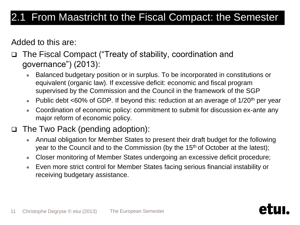### 2.1 From Maastricht to the Fiscal Compact: the Semester

Added to this are:

 The Fiscal Compact ("Treaty of stability, coordination and governance") (2013):

- Balanced budgetary position or in surplus. To be incorporated in constitutions or equivalent (organic law). If excessive deficit: economic and fiscal program supervised by the Commission and the Council in the framework of the SGP
- Public debt <60% of GDP. If beyond this: reduction at an average of  $1/20<sup>th</sup>$  per year
- Coordination of economic policy: commitment to submit for discussion ex-ante any major reform of economic policy.
- □ The Two Pack (pending adoption):
	- Annual obligation for Member States to present their draft budget for the following year to the Council and to the Commission (by the 15<sup>th</sup> of October at the latest);
	- Closer monitoring of Member States undergoing an excessive deficit procedure;
	- Even more strict control for Member States facing serious financial instability or receiving budgetary assistance.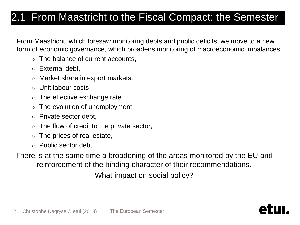### 2.1 From Maastricht to the Fiscal Compact: the Semester

From Maastricht, which foresaw monitoring debts and public deficits, we move to a new form of economic governance, which broadens monitoring of macroeconomic imbalances:

- The balance of current accounts,
- External debt.
- Market share in export markets,
- Unit labour costs
- The effective exchange rate
- $\circ$  The evolution of unemployment,
- Private sector debt,
- $\circ$  The flow of credit to the private sector,
- The prices of real estate,
- Public sector debt.

There is at the same time a **broadening** of the areas monitored by the EU and reinforcement of the binding character of their recommendations. What impact on social policy?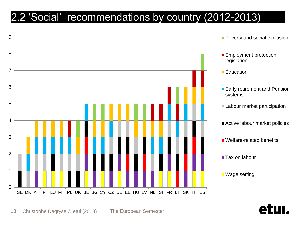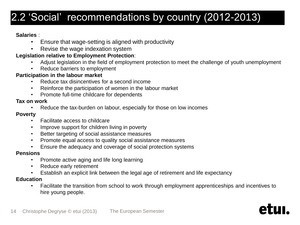#### **Salaries** :

- Ensure that wage-setting is aligned with productivity
- Revise the wage indexation system

#### **Legislation relative to Employment Protection**:

- Adjust legislation in the field of employment protection to meet the challenge of youth unemployment
- Reduce barriers to employment

#### **Participation in the labour market**

- Reduce tax disincentives for a second income
- Reinforce the participation of women in the labour market
- Promote full-time childcare for dependents

#### **Tax on work**

• Reduce the tax-burden on labour, especially for those on low incomes

#### **Poverty**

- Facilitate access to childcare
- Improve support for children living in poverty
- Better targeting of social assistance measures
- Promote equal access to quality social assistance measures
- Ensure the adequacy and coverage of social protection systems

#### **Pensions**

- Promote active aging and life long learning
- Reduce early retirement
- Establish an explicit link between the legal age of retirement and life expectancy

#### **Education**

• Facilitate the transition from school to work through employment apprenticeships and incentives to hire young people.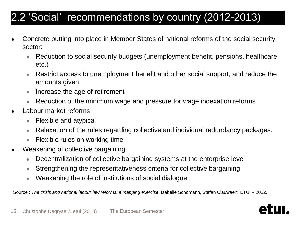- Concrete putting into place in Member States of national reforms of the social security sector:
	- Reduction to social security budgets (unemployment benefit, pensions, healthcare etc.)
	- Restrict access to unemployment benefit and other social support, and reduce the amounts given
	- Increase the age of retirement
	- Reduction of the minimum wage and pressure for wage indexation reforms
- Labour market reforms
	- Flexible and atypical
	- Relaxation of the rules regarding collective and individual redundancy packages.
	- Flexible rules on working time
- Weakening of collective bargaining
	- Decentralization of collective bargaining systems at the enterprise level
	- Strengthening the representativeness criteria for collective bargaining
	- Weakening the role of institutions of social dialogue

Source : *The crisis and national labour law reforms: a mapping exercise*: Isabelle Schömann, Stefan Clauwaert, ETUI – 2012.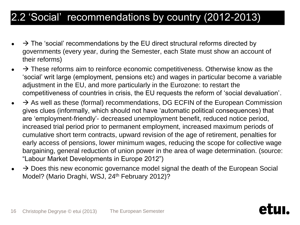- $\rightarrow$  The 'social' recommendations by the EU direct structural reforms directed by governments (every year, during the Semester, each State must show an account of their reforms)
- $\rightarrow$  These reforms aim to reinforce economic competitiveness. Otherwise know as the 'social' writ large (employment, pensions etc) and wages in particular become a variable adjustment in the EU, and more particularly in the Eurozone: to restart the competitiveness of countries in crisis, the EU requests the reform of 'social devaluation'.
- $\rightarrow$  As well as these (formal) recommendations, DG ECFIN of the European Commission gives clues (informally, which should not have 'automatic political consequences) that are 'employment-friendly'- decreased unemployment benefit, reduced notice period, increased trial period prior to permanent employment, increased maximum periods of cumulative short term contracts, upward revision of the age of retirement, penalties for early access of pensions, lower minimum wages, reducing the scope for collective wage bargaining, general reduction of union power in the area of wage determination. (source: "Labour Market Developments in Europe 2012")
- $\rightarrow$  Does this new economic governance model signal the death of the European Social Model? (Mario Draghi, WSJ, 24<sup>th</sup> February 2012)?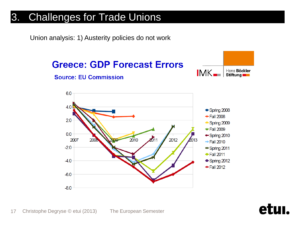Union analysis: 1) Austerity policies do not work

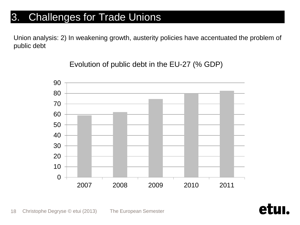Union analysis: 2) In weakening growth, austerity policies have accentuated the problem of public debt

Evolution of public debt in the EU-27 (% GDP)



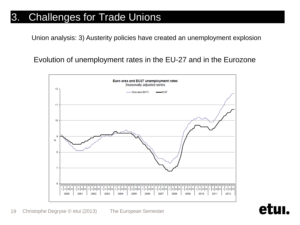Union analysis: 3) Austerity policies have created an unemployment explosion

Evolution of unemployment rates in the EU-27 and in the Eurozone



A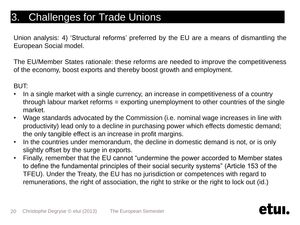Union analysis: 4) 'Structural reforms' preferred by the EU are a means of dismantling the European Social model.

The EU/Member States rationale: these reforms are needed to improve the competitiveness of the economy, boost exports and thereby boost growth and employment.

BUT:

- In a single market with a single currency, an increase in competitiveness of a country through labour market reforms = exporting unemployment to other countries of the single market.
- Wage standards advocated by the Commission (i.e. nominal wage increases in line with productivity) lead only to a decline in purchasing power which effects domestic demand; the only tangible effect is an increase in profit margins.
- In the countries under memorandum, the decline in domestic demand is not, or is only slightly offset by the surge in exports.
- Finally, remember that the EU cannot "undermine the power accorded to Member states to define the fundamental principles of their social security systems" (Article 153 of the TFEU). Under the Treaty, the EU has no jurisdiction or competences with regard to remunerations, the right of association, the right to strike or the right to lock out (id.)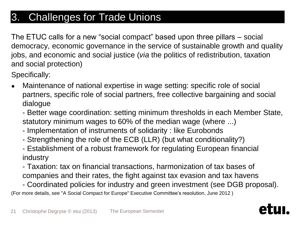The ETUC calls for a new "social compact" based upon three pillars – social democracy, economic governance in the service of sustainable growth and quality jobs, and economic and social justice (*via* the politics of redistribution, taxation and social protection)

Specifically:

- Maintenance of national expertise in wage setting: specific role of social partners, specific role of social partners, free collective bargaining and social dialogue
	- Better wage coordination: setting minimum thresholds in each Member State, statutory minimum wages to 60% of the median wage (where ...)
	- Implementation of instruments of solidarity : like Eurobonds
	- Strengthening the role of the ECB (LLR) (but what conditionality?)
	- Establishment of a robust framework for regulating European financial industry
	- Taxation: tax on financial transactions, harmonization of tax bases of companies and their rates, the fight against tax evasion and tax havens

- Coordinated policies for industry and green investment (see DGB proposal). (For more details, see "A Social Compact for Europe" Executive Committee's resolution, June 2012 )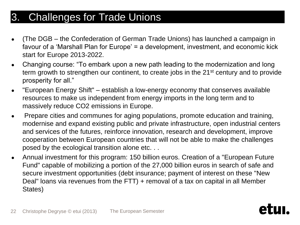- (The DGB the Confederation of German Trade Unions) has launched a campaign in favour of a 'Marshall Plan for Europe' = a development, investment, and economic kick start for Europe 2013-2022.
- Changing course: "To embark upon a new path leading to the modernization and long term growth to strengthen our continent, to create jobs in the 21<sup>st</sup> century and to provide prosperity for all."
- "European Energy Shift" establish a low-energy economy that conserves available resources to make us independent from energy imports in the long term and to massively reduce CO2 emissions in Europe.
- Prepare cities and communes for aging populations, promote education and training, modernise and expand existing public and private infrastructure, open industrial centers and services of the futures, reinforce innovation, research and development, improve cooperation between European countries that will not be able to make the challenges posed by the ecological transition alone etc. . .
- Annual investment for this program: 150 billion euros. Creation of a "European Future" Fund" capable of mobilizing a portion of the 27,000 billion euros in search of safe and secure investment opportunities (debt insurance; payment of interest on these "New Deal" loans via revenues from the FTT) + removal of a tax on capital in all Member States)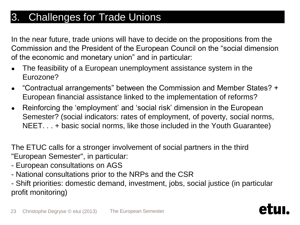In the near future, trade unions will have to decide on the propositions from the Commission and the President of the European Council on the "social dimension of the economic and monetary union" and in particular:

- The feasibility of a European unemployment assistance system in the Eurozone?
- "Contractual arrangements" between the Commission and Member States? + European financial assistance linked to the implementation of reforms?
- Reinforcing the 'employment' and 'social risk' dimension in the European Semester? (social indicators: rates of employment, of poverty, social norms, NEET. . . + basic social norms, like those included in the Youth Guarantee)

The ETUC calls for a stronger involvement of social partners in the third "European Semester", in particular:

- European consultations on AGS
- National consultations prior to the NRPs and the CSR
- Shift priorities: domestic demand, investment, jobs, social justice (in particular profit monitoring)